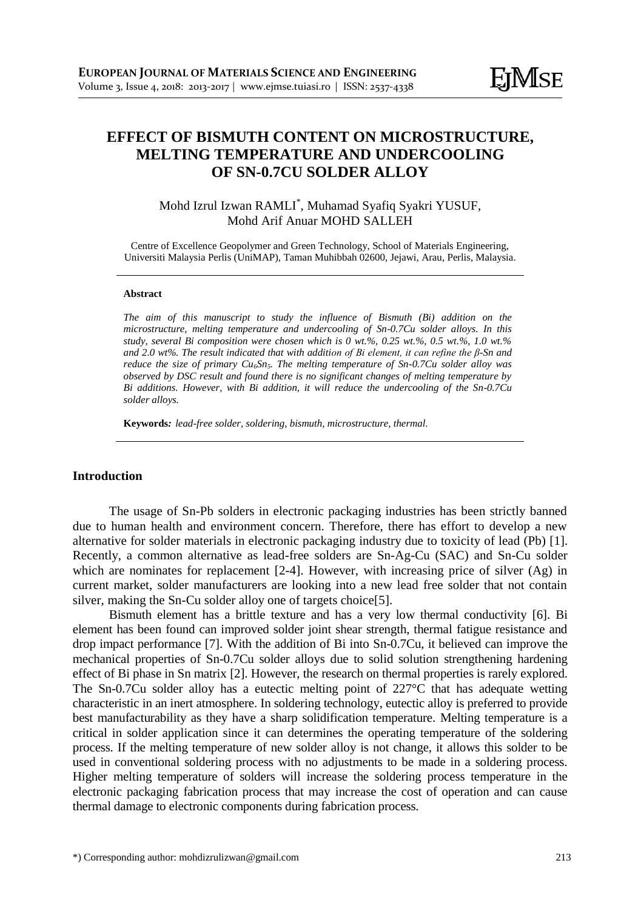# **EFFECT OF BISMUTH CONTENT ON MICROSTRUCTURE, MELTING TEMPERATURE AND UNDERCOOLING OF SN-0.7CU SOLDER ALLOY**

# Mohd Izrul Izwan RAMLI\* , Muhamad Syafiq Syakri YUSUF, Mohd Arif Anuar MOHD SALLEH

Centre of Excellence Geopolymer and Green Technology, School of Materials Engineering, Universiti Malaysia Perlis (UniMAP), Taman Muhibbah 02600, Jejawi, Arau, Perlis, Malaysia.

#### **Abstract**

*The aim of this manuscript to study the influence of Bismuth (Bi) addition on the microstructure, melting temperature and undercooling of Sn-0.7Cu solder alloys. In this study, several Bi composition were chosen which is 0 wt.%, 0.25 wt.%, 0.5 wt.%, 1.0 wt.% and 2.0 wt%. The result indicated that with addition of Bi element, it can refine the β-Sn and reduce the size of primary Cu6Sn5. The melting temperature of Sn-0.7Cu solder alloy was observed by DSC result and found there is no significant changes of melting temperature by Bi additions. However, with Bi addition, it will reduce the undercooling of the Sn-0.7Cu solder alloys.*

**Keywords***: lead-free solder, soldering, bismuth, microstructure, thermal.*

#### **Introduction**

The usage of Sn-Pb solders in electronic packaging industries has been strictly banned due to human health and environment concern. Therefore, there has effort to develop a new alternative for solder materials in electronic packaging industry due to toxicity of lead (Pb) [\[1\]](#page-4-0). Recently, a common alternative as lead-free solders are Sn-Ag-Cu (SAC) and Sn-Cu solder which are nominates for replacement [\[2-4\]](#page-4-1). However, with increasing price of silver (Ag) in current market, solder manufacturers are looking into a new lead free solder that not contain silver, making the Sn-Cu solder alloy one of targets choice[\[5\]](#page-4-2).

Bismuth element has a brittle texture and has a very low thermal conductivity [\[6\]](#page-4-3). Bi element has been found can improved solder joint shear strength, thermal fatigue resistance and drop impact performance [\[7\]](#page-4-4). With the addition of Bi into Sn-0.7Cu, it believed can improve the mechanical properties of Sn-0.7Cu solder alloys due to solid solution strengthening hardening effect of Bi phase in Sn matrix [\[2\]](#page-4-1). However, the research on thermal properties is rarely explored. The Sn-0.7Cu solder alloy has a eutectic melting point of 227°C that has adequate wetting characteristic in an inert atmosphere. In soldering technology, eutectic alloy is preferred to provide best manufacturability as they have a sharp solidification temperature. Melting temperature is a critical in solder application since it can determines the operating temperature of the soldering process. If the melting temperature of new solder alloy is not change, it allows this solder to be used in conventional soldering process with no adjustments to be made in a soldering process. Higher melting temperature of solders will increase the soldering process temperature in the electronic packaging fabrication process that may increase the cost of operation and can cause thermal damage to electronic components during fabrication process.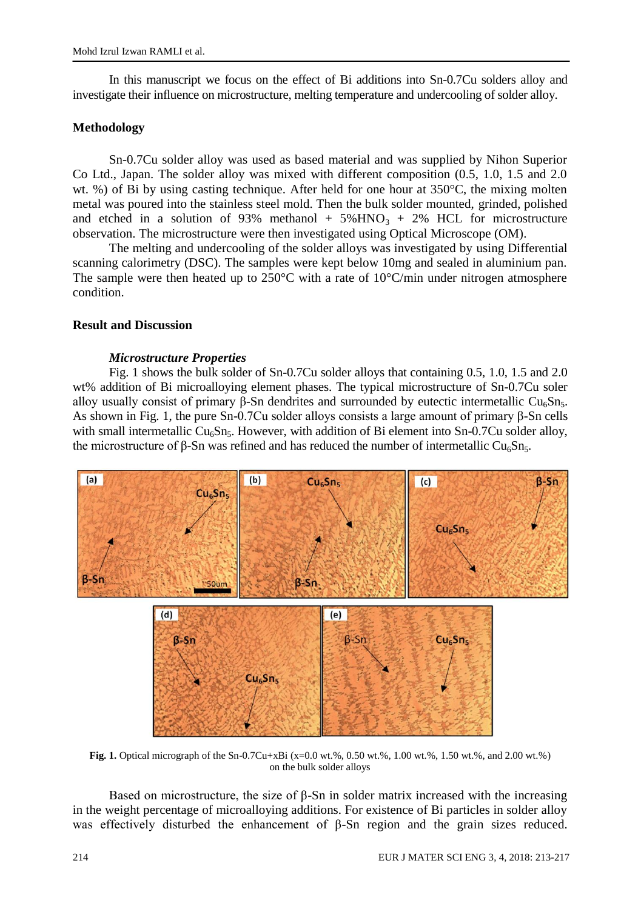In this manuscript we focus on the effect of Bi additions into Sn-0.7Cu solders alloy and investigate their influence on microstructure, melting temperature and undercooling of solder alloy.

## **Methodology**

Sn-0.7Cu solder alloy was used as based material and was supplied by Nihon Superior Co Ltd., Japan. The solder alloy was mixed with different composition (0.5, 1.0, 1.5 and 2.0 wt. %) of Bi by using casting technique. After held for one hour at 350°C, the mixing molten metal was poured into the stainless steel mold. Then the bulk solder mounted, grinded, polished and etched in a solution of 93% methanol +  $5\%$  HNO<sub>3</sub> + 2% HCL for microstructure observation. The microstructure were then investigated using Optical Microscope (OM).

The melting and undercooling of the solder alloys was investigated by using Differential scanning calorimetry (DSC). The samples were kept below 10mg and sealed in aluminium pan. The sample were then heated up to  $250^{\circ}$ C with a rate of  $10^{\circ}$ C/min under nitrogen atmosphere condition.

### **Result and Discussion**

### *Microstructure Properties*

Fig. 1 shows the bulk solder of Sn-0.7Cu solder alloys that containing 0.5, 1.0, 1.5 and 2.0 wt% addition of Bi microalloying element phases. The typical microstructure of Sn-0.7Cu soler alloy usually consist of primary β-Sn dendrites and surrounded by eutectic intermetallic Cu<sub>6</sub>Sn<sub>5</sub>. As shown in Fig. 1, the pure Sn-0.7Cu solder alloys consists a large amount of primary β-Sn cells with small intermetallic  $Cu<sub>6</sub>Sn<sub>5</sub>$ . However, with addition of Bi element into Sn-0.7Cu solder alloy, the microstructure of β-Sn was refined and has reduced the number of intermetallic Cu<sub>6</sub>Sn<sub>5</sub>.



**Fig. 1.** Optical micrograph of the Sn-0.7Cu+xBi (x=0.0 wt.%, 0.50 wt.%, 1.00 wt.%, 1.50 wt.%, and 2.00 wt.%) on the bulk solder alloys

Based on microstructure, the size of  $\beta$ -Sn in solder matrix increased with the increasing in the weight percentage of microalloying additions. For existence of Bi particles in solder alloy was effectively disturbed the enhancement of β-Sn region and the grain sizes reduced.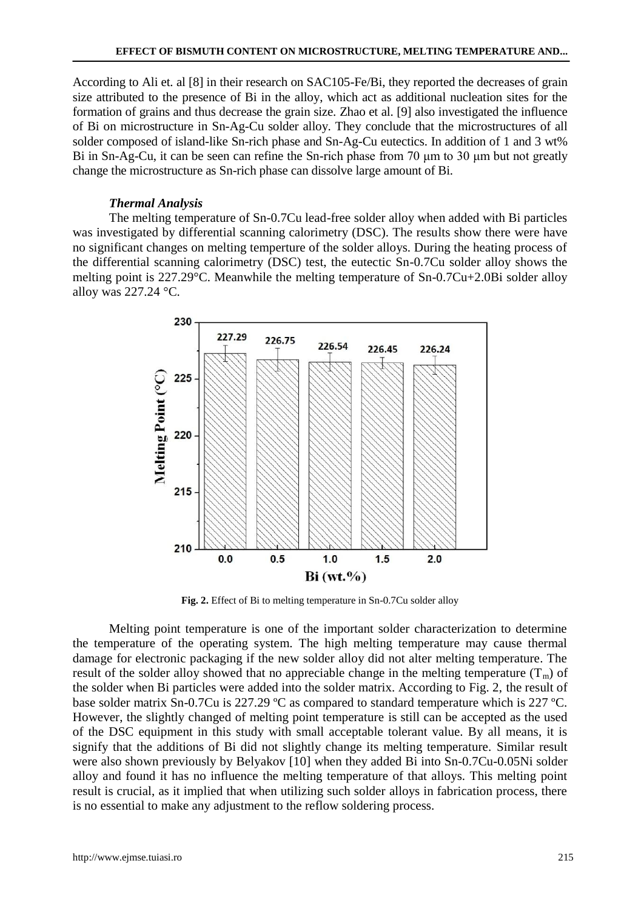According to Ali et. al [\[8\]](#page-4-5) in their research on SAC105-Fe/Bi, they reported the decreases of grain size attributed to the presence of Bi in the alloy, which act as additional nucleation sites for the formation of grains and thus decrease the grain size. Zhao et al. [\[9\]](#page-4-6) also investigated the influence of Bi on microstructure in Sn-Ag-Cu solder alloy. They conclude that the microstructures of all solder composed of island-like Sn-rich phase and Sn-Ag-Cu eutectics. In addition of 1 and 3 wt% Bi in Sn-Ag-Cu, it can be seen can refine the Sn-rich phase from 70 μm to 30 μm but not greatly change the microstructure as Sn-rich phase can dissolve large amount of Bi.

# *Thermal Analysis*

The melting temperature of Sn-0.7Cu lead-free solder alloy when added with Bi particles was investigated by differential scanning calorimetry (DSC). The results show there were have no significant changes on melting temperture of the solder alloys. During the heating process of the differential scanning calorimetry (DSC) test, the eutectic Sn-0.7Cu solder alloy shows the melting point is 227.29°C. Meanwhile the melting temperature of Sn-0.7Cu+2.0Bi solder alloy alloy was 227.24 °C.



**Fig. 2.** Effect of Bi to melting temperature in Sn-0.7Cu solder alloy

Melting point temperature is one of the important solder characterization to determine the temperature of the operating system. The high melting temperature may cause thermal damage for electronic packaging if the new solder alloy did not alter melting temperature. The result of the solder alloy showed that no appreciable change in the melting temperature  $(T_m)$  of the solder when Bi particles were added into the solder matrix. According to Fig. 2, the result of base solder matrix Sn-0.7Cu is 227.29 ºC as compared to standard temperature which is 227 ºC. However, the slightly changed of melting point temperature is still can be accepted as the used of the DSC equipment in this study with small acceptable tolerant value. By all means, it is signify that the additions of Bi did not slightly change its melting temperature. Similar result were also shown previously by Belyakov [\[10\]](#page-4-7) when they added Bi into Sn-0.7Cu-0.05Ni solder alloy and found it has no influence the melting temperature of that alloys. This melting point result is crucial, as it implied that when utilizing such solder alloys in fabrication process, there is no essential to make any adjustment to the reflow soldering process.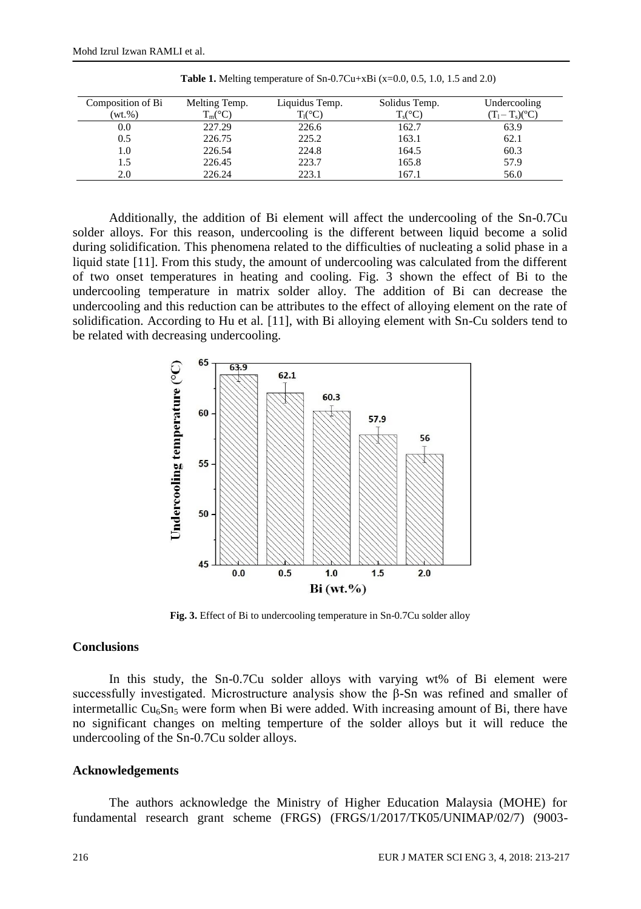| Composition of Bi | Melting Temp.      | Liquidus Temp.   | Solidus Temp.    | Undercooling      |
|-------------------|--------------------|------------------|------------------|-------------------|
| $(wt. \% )$       | $T_m({}^{\circ}C)$ | $T_1(^{\circ}C)$ | $T_s(^{\circ}C)$ | $T_1 - T_s$ $(C)$ |
| 0.0               | 227.29             | 226.6            | 162.7            | 63.9              |
| 0.5               | 226.75             | 225.2            | 163.1            | 62.1              |
| 1.0               | 226.54             | 224.8            | 164.5            | 60.3              |
| 1.5               | 226.45             | 223.7            | 165.8            | 57.9              |
| 2.0               | 226.24             | 223.1            | 167.1            | 56.0              |

**Table 1.** Melting temperature of Sn-0.7Cu+xBi (x=0.0, 0.5, 1.0, 1.5 and 2.0)

Additionally, the addition of Bi element will affect the undercooling of the Sn-0.7Cu solder alloys. For this reason, undercooling is the different between liquid become a solid during solidification. This phenomena related to the difficulties of nucleating a solid phase in a liquid state [\[11\]](#page-4-8). From this study, the amount of undercooling was calculated from the different of two onset temperatures in heating and cooling. Fig. 3 shown the effect of Bi to the undercooling temperature in matrix solder alloy. The addition of Bi can decrease the undercooling and this reduction can be attributes to the effect of alloying element on the rate of solidification. According to Hu et al. [\[11\]](#page-4-8), with Bi alloying element with Sn-Cu solders tend to be related with decreasing undercooling.



Fig. 3. Effect of Bi to undercooling temperature in Sn-0.7Cu solder alloy

#### **Conclusions**

In this study, the Sn-0.7Cu solder alloys with varying wt% of Bi element were successfully investigated. Microstructure analysis show the β-Sn was refined and smaller of intermetallic  $Cu<sub>6</sub>Sn<sub>5</sub>$  were form when Bi were added. With increasing amount of Bi, there have no significant changes on melting temperture of the solder alloys but it will reduce the undercooling of the Sn-0.7Cu solder alloys.

#### **Acknowledgements**

The authors acknowledge the Ministry of Higher Education Malaysia (MOHE) for fundamental research grant scheme (FRGS) (FRGS/1/2017/TK05/UNIMAP/02/7) (9003